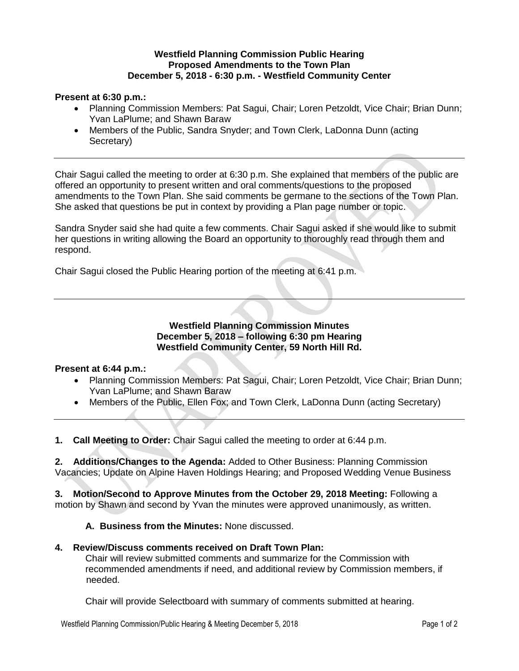## **Westfield Planning Commission Public Hearing Proposed Amendments to the Town Plan December 5, 2018 - 6:30 p.m. - Westfield Community Center**

# **Present at 6:30 p.m.:**

- Planning Commission Members: Pat Sagui, Chair; Loren Petzoldt, Vice Chair; Brian Dunn; Yvan LaPlume; and Shawn Baraw
- Members of the Public, Sandra Snyder; and Town Clerk, LaDonna Dunn (acting Secretary)

Chair Sagui called the meeting to order at 6:30 p.m. She explained that members of the public are offered an opportunity to present written and oral comments/questions to the proposed amendments to the Town Plan. She said comments be germane to the sections of the Town Plan. She asked that questions be put in context by providing a Plan page number or topic.

Sandra Snyder said she had quite a few comments. Chair Sagui asked if she would like to submit her questions in writing allowing the Board an opportunity to thoroughly read through them and respond.

Chair Sagui closed the Public Hearing portion of the meeting at 6:41 p.m.

**Westfield Planning Commission Minutes December 5, 2018 – following 6:30 pm Hearing Westfield Community Center, 59 North Hill Rd.**

## **Present at 6:44 p.m.:**

- Planning Commission Members: Pat Sagui, Chair; Loren Petzoldt, Vice Chair; Brian Dunn; Yvan LaPlume; and Shawn Baraw
- Members of the Public, Ellen Fox; and Town Clerk, LaDonna Dunn (acting Secretary)

**1. Call Meeting to Order:** Chair Sagui called the meeting to order at 6:44 p.m.

**2. Additions/Changes to the Agenda:** Added to Other Business: Planning Commission Vacancies; Update on Alpine Haven Holdings Hearing; and Proposed Wedding Venue Business

**3. Motion/Second to Approve Minutes from the October 29, 2018 Meeting:** Following a motion by Shawn and second by Yvan the minutes were approved unanimously, as written.

#### **A. Business from the Minutes:** None discussed.

#### **4. Review/Discuss comments received on Draft Town Plan:**

Chair will review submitted comments and summarize for the Commission with recommended amendments if need, and additional review by Commission members, if needed.

Chair will provide Selectboard with summary of comments submitted at hearing.